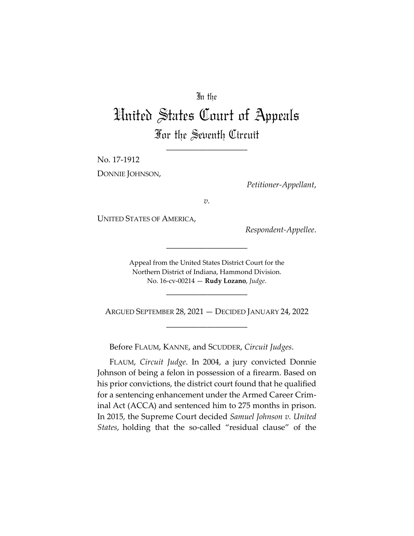### In the

# United States Court of Appeals For the Seventh Circuit

\_\_\_\_\_\_\_\_\_\_\_\_\_\_\_\_\_\_\_\_

No. 17‐1912 DONNIE JOHNSON,

*Petitioner‐Appellant*,

*v.*

UNITED STATES OF AMERICA,

*Respondent‐Appellee*.

Appeal from the United States District Court for the Northern District of Indiana, Hammond Division. No. 16‐cv‐00214 — **Rudy Lozano**, *Judge*.

\_\_\_\_\_\_\_\_\_\_\_\_\_\_\_\_\_\_\_\_

ARGUED SEPTEMBER 28, 2021 — DECIDED JANUARY 24, 2022 \_\_\_\_\_\_\_\_\_\_\_\_\_\_\_\_\_\_\_\_

\_\_\_\_\_\_\_\_\_\_\_\_\_\_\_\_\_\_\_\_

Before FLAUM, KANNE, and SCUDDER, *Circuit Judges*.

FLAUM, *Circuit Judge*. In 2004, a jury convicted Donnie Johnson of being a felon in possession of a firearm. Based on his prior convictions, the district court found that he qualified for a sentencing enhancement under the Armed Career Crim‐ inal Act (ACCA) and sentenced him to 275 months in prison. In 2015, the Supreme Court decided *Samuel Johnson v. United States*, holding that the so-called "residual clause" of the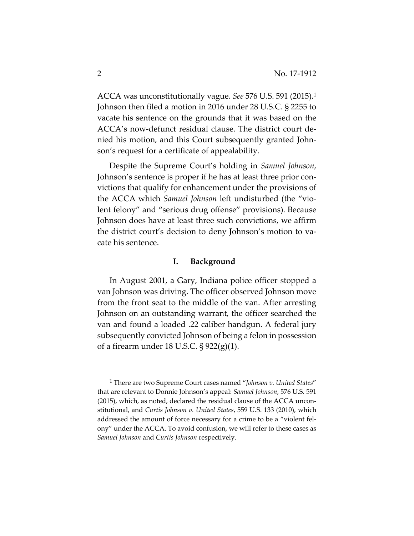ACCA was unconstitutionally vague. *See* 576 U.S. 591 (2015).1 Johnson then filed a motion in 2016 under 28 U.S.C. § 2255 to vacate his sentence on the grounds that it was based on the ACCA's now‐defunct residual clause. The district court de‐ nied his motion, and this Court subsequently granted Johnson's request for a certificate of appealability.

Despite the Supreme Court's holding in *Samuel Johnson*, Johnson's sentence is proper if he has at least three prior con‐ victions that qualify for enhancement under the provisions of the ACCA which *Samuel Johnson* left undisturbed (the "vio‐ lent felony" and "serious drug offense" provisions). Because Johnson does have at least three such convictions, we affirm the district court's decision to deny Johnson's motion to va‐ cate his sentence.

#### **I. Background**

In August 2001, a Gary, Indiana police officer stopped a van Johnson was driving. The officer observed Johnson move from the front seat to the middle of the van. After arresting Johnson on an outstanding warrant, the officer searched the van and found a loaded .22 caliber handgun. A federal jury subsequently convicted Johnson of being a felon in possession of a firearm under 18 U.S.C. § 922(g)(1).

<sup>1</sup> There are two Supreme Court cases named "*Johnson v. United States*" that are relevant to Donnie Johnson's appeal: *Samuel Johnson*, 576 U.S. 591 (2015), which, as noted, declared the residual clause of the ACCA unconstitutional, and *Curtis Johnson v. United States*, 559 U.S. 133 (2010), which addressed the amount of force necessary for a crime to be a "violent fel‐ ony" under the ACCA. To avoid confusion, we will refer to these cases as *Samuel Johnson* and *Curtis Johnson* respectively.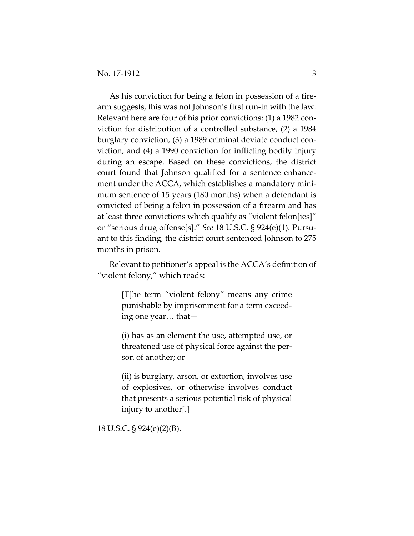As his conviction for being a felon in possession of a fire‐ arm suggests, this was not Johnson's first run‐in with the law. Relevant here are four of his prior convictions: (1) a 1982 con‐ viction for distribution of a controlled substance, (2) a 1984 burglary conviction, (3) a 1989 criminal deviate conduct con‐ viction, and (4) a 1990 conviction for inflicting bodily injury during an escape. Based on these convictions, the district court found that Johnson qualified for a sentence enhance‐ ment under the ACCA, which establishes a mandatory minimum sentence of 15 years (180 months) when a defendant is convicted of being a felon in possession of a firearm and has at least three convictions which qualify as "violent felon[ies]" or "serious drug offense[s]." *See* 18 U.S.C. § 924(e)(1). Pursu‐ ant to this finding, the district court sentenced Johnson to 275 months in prison.

Relevant to petitioner's appeal is the ACCA's definition of "violent felony," which reads:

> [T]he term "violent felony" means any crime punishable by imprisonment for a term exceed‐ ing one year… that—

> (i) has as an element the use, attempted use, or threatened use of physical force against the per‐ son of another; or

> (ii) is burglary, arson, or extortion, involves use of explosives, or otherwise involves conduct that presents a serious potential risk of physical injury to another[.]

18 U.S.C. § 924(e)(2)(B).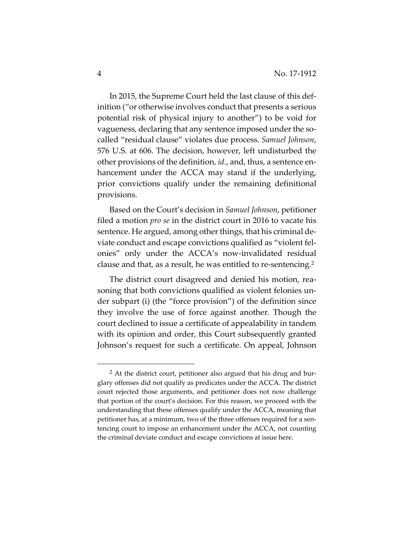In 2015, the Supreme Court held the last clause of this def‐ inition ("or otherwise involves conduct that presents a serious potential risk of physical injury to another") to be void for vagueness, declaring that any sentence imposed under the so‐ called "residual clause" violates due process. *Samuel Johnson*, 576 U.S. at 606. The decision, however, left undisturbed the other provisions of the definition, *id.*, and, thus, a sentence en‐ hancement under the ACCA may stand if the underlying, prior convictions qualify under the remaining definitional provisions.

Based on the Court's decision in *Samuel Johnson*, petitioner filed a motion *pro se* in the district court in 2016 to vacate his sentence. He argued, among other things, that his criminal deviate conduct and escape convictions qualified as "violent fel‐ onies" only under the ACCA's now‐invalidated residual clause and that, as a result, he was entitled to re‐sentencing.2

The district court disagreed and denied his motion, rea‐ soning that both convictions qualified as violent felonies under subpart (i) (the "force provision") of the definition since they involve the use of force against another. Though the court declined to issue a certificate of appealability in tandem with its opinion and order, this Court subsequently granted Johnson's request for such a certificate. On appeal, Johnson

 $2$  At the district court, petitioner also argued that his drug and burglary offenses did not qualify as predicates under the ACCA. The district court rejected those arguments, and petitioner does not now challenge that portion of the court's decision. For this reason, we proceed with the understanding that these offenses qualify under the ACCA, meaning that petitioner has, at a minimum, two of the three offenses required for a sentencing court to impose an enhancement under the ACCA, not counting the criminal deviate conduct and escape convictions at issue here.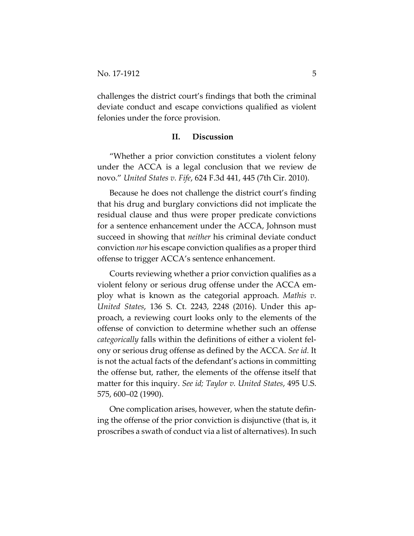challenges the district court's findings that both the criminal deviate conduct and escape convictions qualified as violent felonies under the force provision.

#### **II. Discussion**

"Whether a prior conviction constitutes a violent felony under the ACCA is a legal conclusion that we review de novo." *United States v. Fife*, 624 F.3d 441, 445 (7th Cir. 2010).

Because he does not challenge the district court's finding that his drug and burglary convictions did not implicate the residual clause and thus were proper predicate convictions for a sentence enhancement under the ACCA, Johnson must succeed in showing that *neither* his criminal deviate conduct conviction *nor* his escape conviction qualifies as a properthird offense to trigger ACCA's sentence enhancement.

Courts reviewing whether a prior conviction qualifies as a violent felony or serious drug offense under the ACCA em‐ ploy what is known as the categorial approach. *Mathis v. United States*, 136 S. Ct. 2243, 2248 (2016). Under this ap‐ proach, a reviewing court looks only to the elements of the offense of conviction to determine whether such an offense *categorically* falls within the definitions of either a violent fel‐ ony or serious drug offense as defined by the ACCA. *See id.* It is not the actual facts of the defendant's actions in committing the offense but, rather, the elements of the offense itself that matter for this inquiry. *See id; Taylor v. United States*, 495 U.S. 575, 600–02 (1990).

One complication arises, however, when the statute defin‐ ing the offense of the prior conviction is disjunctive (that is, it proscribes a swath of conduct via a list of alternatives). In such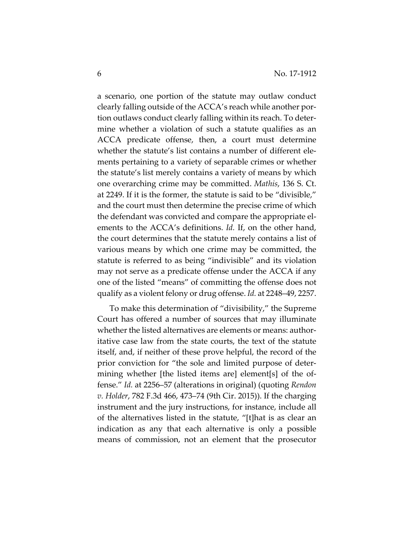a scenario, one portion of the statute may outlaw conduct clearly falling outside of the ACCA's reach while another por‐ tion outlaws conduct clearly falling within its reach. To deter‐ mine whether a violation of such a statute qualifies as an ACCA predicate offense, then, a court must determine whether the statute's list contains a number of different elements pertaining to a variety of separable crimes or whether the statute's list merely contains a variety of means by which one overarching crime may be committed. *Mathis*, 136 S. Ct. at 2249. If it is the former, the statute is said to be "divisible," and the court must then determine the precise crime of which the defendant was convicted and compare the appropriate el‐ ements to the ACCA's definitions. *Id.* If, on the other hand, the court determines that the statute merely contains a list of various means by which one crime may be committed, the statute is referred to as being "indivisible" and its violation may not serve as a predicate offense under the ACCA if any one of the listed "means" of committing the offense does not qualify as a violent felony or drug offense. *Id.* at 2248–49, 2257.

To make this determination of "divisibility," the Supreme Court has offered a number of sources that may illuminate whether the listed alternatives are elements or means: authoritative case law from the state courts, the text of the statute itself, and, if neither of these prove helpful, the record of the prior conviction for "the sole and limited purpose of deter‐ mining whether [the listed items are] element[s] of the of‐ fense." *Id.* at 2256–57 (alterations in original) (quoting *Rendon v. Holder*, 782 F.3d 466, 473–74 (9th Cir. 2015)). If the charging instrument and the jury instructions, for instance, include all of the alternatives listed in the statute, "[t]hat is as clear an indication as any that each alternative is only a possible means of commission, not an element that the prosecutor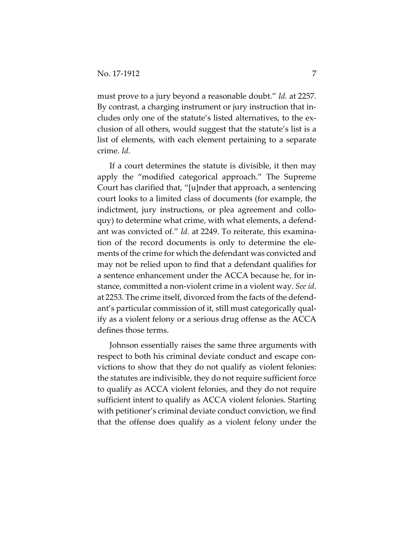must prove to a jury beyond a reasonable doubt." *Id.* at 2257. By contrast, a charging instrument or jury instruction that in‐ cludes only one of the statute's listed alternatives, to the ex‐ clusion of all others, would suggest that the statute's list is a list of elements, with each element pertaining to a separate crime. *Id.*

If a court determines the statute is divisible, it then may apply the "modified categorical approach." The Supreme Court has clarified that, "[u]nder that approach, a sentencing court looks to a limited class of documents (for example, the indictment, jury instructions, or plea agreement and colloquy) to determine what crime, with what elements, a defend‐ ant was convicted of." *Id.* at 2249. To reiterate, this examina‐ tion of the record documents is only to determine the ele‐ ments of the crime for which the defendant was convicted and may not be relied upon to find that a defendant qualifies for a sentence enhancement under the ACCA because he, for in‐ stance, committed a non‐violent crime in a violent way. *See id*. at 2253. The crime itself, divorced from the facts of the defend‐ ant's particular commission of it, still must categorically qual‐ ify as a violent felony or a serious drug offense as the ACCA defines those terms.

Johnson essentially raises the same three arguments with respect to both his criminal deviate conduct and escape convictions to show that they do not qualify as violent felonies: the statutes are indivisible, they do not require sufficient force to qualify as ACCA violent felonies, and they do not require sufficient intent to qualify as ACCA violent felonies. Starting with petitioner's criminal deviate conduct conviction, we find that the offense does qualify as a violent felony under the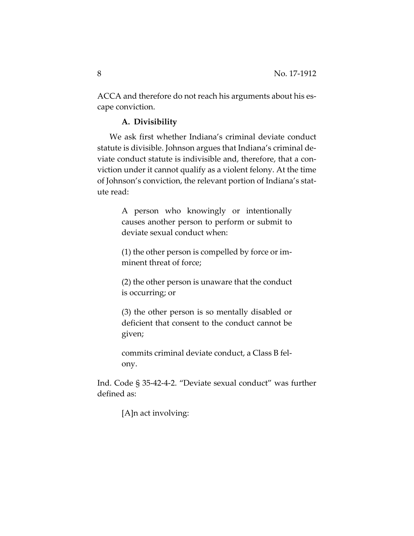ACCA and therefore do not reach his arguments about his escape conviction.

#### **A. Divisibility**

We ask first whether Indiana's criminal deviate conduct statute is divisible. Johnson argues that Indiana's criminal de‐ viate conduct statute is indivisible and, therefore, that a con‐ viction under it cannot qualify as a violent felony. At the time of Johnson's conviction, the relevant portion of Indiana's stat‐ ute read:

> A person who knowingly or intentionally causes another person to perform or submit to deviate sexual conduct when:

> (1) the other person is compelled by force or im‐ minent threat of force;

> (2) the other person is unaware that the conduct is occurring; or

> (3) the other person is so mentally disabled or deficient that consent to the conduct cannot be given;

> commits criminal deviate conduct, a Class B fel‐ ony.

Ind. Code § 35‐42‐4‐2. "Deviate sexual conduct" was further defined as:

[A]n act involving: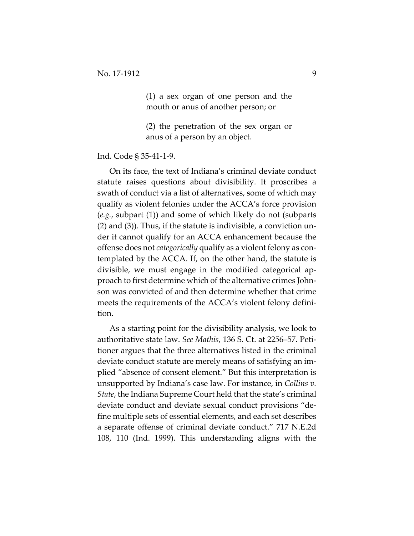(1) a sex organ of one person and the mouth or anus of another person; or

(2) the penetration of the sex organ or anus of a person by an object.

Ind. Code § 35‐41‐1‐9.

On its face, the text of Indiana's criminal deviate conduct statute raises questions about divisibility. It proscribes a swath of conduct via a list of alternatives, some of which may qualify as violent felonies under the ACCA's force provision (*e.g.*, subpart (1)) and some of which likely do not (subparts (2) and (3)). Thus, if the statute is indivisible, a conviction un‐ der it cannot qualify for an ACCA enhancement because the offense does not *categorically* qualify as a violent felony as con‐ templated by the ACCA. If, on the other hand, the statute is divisible, we must engage in the modified categorical ap‐ proach to first determine which of the alternative crimes John‐ son was convicted of and then determine whether that crime meets the requirements of the ACCA's violent felony definition.

As a starting point for the divisibility analysis, we look to authoritative state law. *See Mathis*, 136 S. Ct. at 2256–57. Peti‐ tioner argues that the three alternatives listed in the criminal deviate conduct statute are merely means of satisfying an im‐ plied "absence of consent element." But this interpretation is unsupported by Indiana's case law. For instance, in *Collins v. State*, the Indiana Supreme Court held that the state's criminal deviate conduct and deviate sexual conduct provisions "de‐ fine multiple sets of essential elements, and each set describes a separate offense of criminal deviate conduct." 717 N.E.2d 108, 110 (Ind. 1999). This understanding aligns with the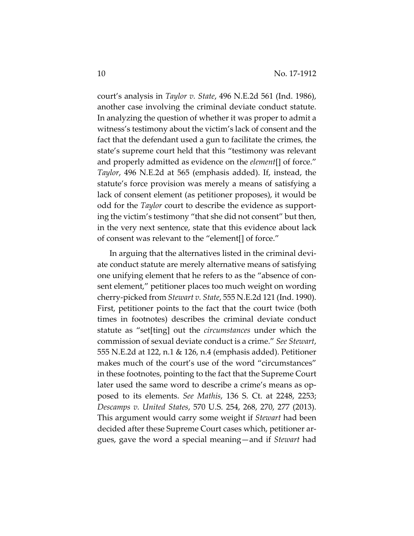court's analysis in *Taylor v. State*, 496 N.E.2d 561 (Ind. 1986), another case involving the criminal deviate conduct statute. In analyzing the question of whether it was proper to admit a witness's testimony about the victim's lack of consent and the fact that the defendant used a gun to facilitate the crimes, the state's supreme court held that this "testimony was relevant and properly admitted as evidence on the *element*[] of force." *Taylor*, 496 N.E.2d at 565 (emphasis added). If, instead, the statute's force provision was merely a means of satisfying a lack of consent element (as petitioner proposes), it would be odd for the *Taylor* court to describe the evidence as support‐ ing the victim's testimony "that she did not consent" but then, in the very next sentence, state that this evidence about lack of consent was relevant to the "element[] of force."

In arguing that the alternatives listed in the criminal devi‐ ate conduct statute are merely alternative means of satisfying one unifying element that he refers to as the "absence of con‐ sent element," petitioner places too much weight on wording cherry‐picked from *Stewart v. State*, 555 N.E.2d 121 (Ind. 1990). First, petitioner points to the fact that the court twice (both times in footnotes) describes the criminal deviate conduct statute as "set[ting] out the *circumstances* under which the commission of sexual deviate conduct is a crime." *See Stewart*, 555 N.E.2d at 122, n.1 & 126, n.4 (emphasis added). Petitioner makes much of the court's use of the word "circumstances" in these footnotes, pointing to the fact that the Supreme Court later used the same word to describe a crime's means as opposed to its elements. *See Mathis*, 136 S. Ct. at 2248, 2253; *Descamps v. United States*, 570 U.S. 254, 268, 270, 277 (2013). This argument would carry some weight if *Stewart* had been decided after these Supreme Court cases which, petitioner ar‐ gues, gave the word a special meaning—and if *Stewart* had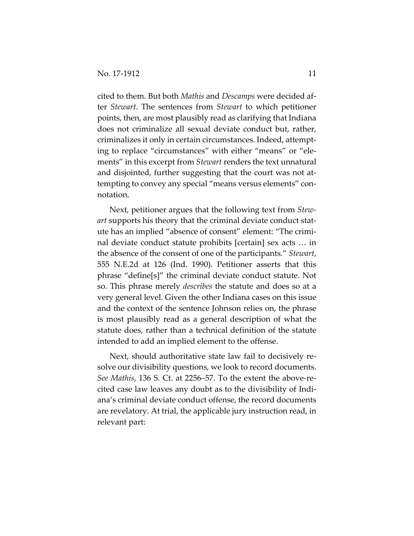cited to them. But both *Mathis* and *Descamps* were decided af‐ ter *Stewart*. The sentences from *Stewart* to which petitioner points, then, are most plausibly read as clarifying that Indiana does not criminalize all sexual deviate conduct but, rather, criminalizes it only in certain circumstances. Indeed, attempt‐ ing to replace "circumstances" with either "means" or "ele‐ ments" in this excerpt from *Stewart* renders the text unnatural and disjointed, further suggesting that the court was not at‐ tempting to convey any special "means versus elements" con‐ notation.

Next, petitioner argues that the following text from *Stew‐ art* supports his theory that the criminal deviate conduct stat‐ ute has an implied "absence of consent" element: "The crimi‐ nal deviate conduct statute prohibits [certain] sex acts … in the absence of the consent of one of the participants." *Stewart*, 555 N.E.2d at 126 (Ind. 1990). Petitioner asserts that this phrase "define[s]" the criminal deviate conduct statute. Not so. This phrase merely *describes* the statute and does so at a very general level. Given the other Indiana cases on this issue and the context of the sentence Johnson relies on, the phrase is most plausibly read as a general description of what the statute does, rather than a technical definition of the statute intended to add an implied element to the offense.

Next, should authoritative state law fail to decisively re‐ solve our divisibility questions, we look to record documents. *See Mathis*, 136 S. Ct. at 2256–57. To the extent the above‐re‐ cited case law leaves any doubt as to the divisibility of Indi‐ ana's criminal deviate conduct offense, the record documents are revelatory. At trial, the applicable jury instruction read, in relevant part: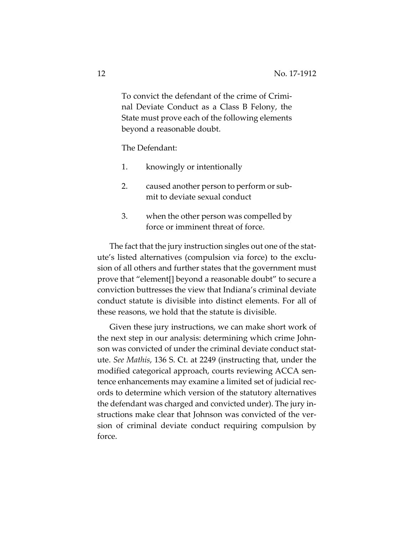To convict the defendant of the crime of Crimi‐ nal Deviate Conduct as a Class B Felony, the State must prove each of the following elements beyond a reasonable doubt.

The Defendant:

- 1. knowingly or intentionally
- 2. caused another person to perform or sub‐ mit to deviate sexual conduct
- 3. when the other person was compelled by force or imminent threat of force.

The fact that the jury instruction singles out one of the stat‐ ute's listed alternatives (compulsion via force) to the exclu‐ sion of all others and further states that the government must prove that "element[] beyond a reasonable doubt" to secure a conviction buttresses the view that Indiana's criminal deviate conduct statute is divisible into distinct elements. For all of these reasons, we hold that the statute is divisible.

Given these jury instructions, we can make short work of the next step in our analysis: determining which crime John‐ son was convicted of under the criminal deviate conduct statute. *See Mathis*, 136 S. Ct. at 2249 (instructing that, under the modified categorical approach, courts reviewing ACCA sen‐ tence enhancements may examine a limited set of judicial rec‐ ords to determine which version of the statutory alternatives the defendant was charged and convicted under). The jury in‐ structions make clear that Johnson was convicted of the ver‐ sion of criminal deviate conduct requiring compulsion by force.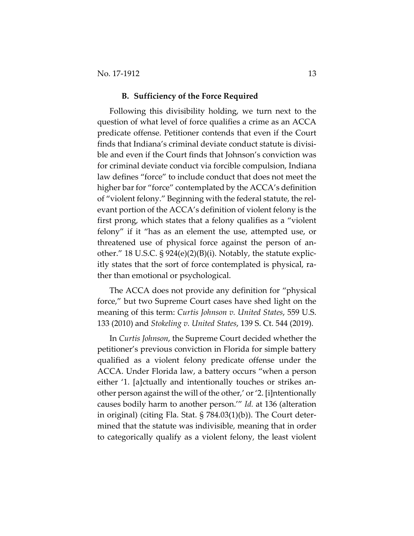#### **B. Sufficiency of the Force Required**

Following this divisibility holding, we turn next to the question of what level of force qualifies a crime as an ACCA predicate offense. Petitioner contends that even if the Court finds that Indiana's criminal deviate conduct statute is divisi‐ ble and even if the Court finds that Johnson's conviction was for criminal deviate conduct via forcible compulsion, Indiana law defines "force" to include conduct that does not meet the higher bar for "force" contemplated by the ACCA's definition of "violent felony." Beginning with the federal statute, the rel‐ evant portion of the ACCA's definition of violent felony is the first prong, which states that a felony qualifies as a "violent felony" if it "has as an element the use, attempted use, or threatened use of physical force against the person of an‐ other." 18 U.S.C.  $\S 924(e)(2)(B)(i)$ . Notably, the statute explicitly states that the sort of force contemplated is physical, ra‐ ther than emotional or psychological.

The ACCA does not provide any definition for "physical force," but two Supreme Court cases have shed light on the meaning of this term: *Curtis Johnson v. United States*, 559 U.S. 133 (2010) and *Stokeling v. United States*, 139 S. Ct. 544 (2019).

In *Curtis Johnson*, the Supreme Court decided whether the petitioner's previous conviction in Florida for simple battery qualified as a violent felony predicate offense under the ACCA. Under Florida law, a battery occurs "when a person either '1. [a]ctually and intentionally touches or strikes an‐ other person against the will of the other,' or '2. [i]ntentionally causes bodily harm to another person.'" *Id.* at 136 (alteration in original) (citing Fla. Stat. § 784.03(1)(b)). The Court deter‐ mined that the statute was indivisible, meaning that in order to categorically qualify as a violent felony, the least violent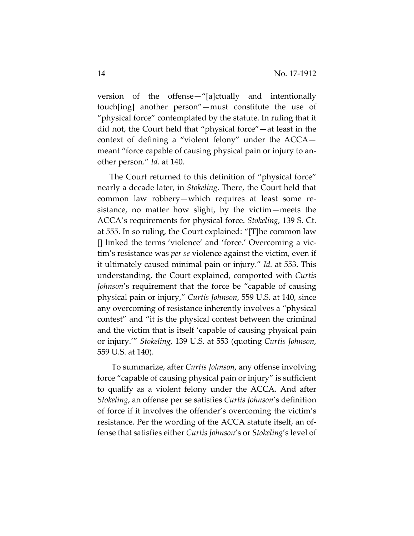version of the offense—"[a]ctually and intentionally touch[ing] another person"—must constitute the use of "physical force" contemplated by the statute. In ruling that it did not, the Court held that "physical force"—at least in the context of defining a "violent felony" under the ACCA meant "force capable of causing physical pain or injury to another person." *Id.* at 140.

The Court returned to this definition of "physical force" nearly a decade later, in *Stokeling*. There, the Court held that common law robbery—which requires at least some re‐ sistance, no matter how slight, by the victim—meets the ACCA's requirements for physical force. *Stokeling*, 139 S. Ct. at 555. In so ruling, the Court explained: "[T]he common law [] linked the terms 'violence' and 'force.' Overcoming a vic‐ tim's resistance was *per se* violence against the victim, even if it ultimately caused minimal pain or injury." *Id.* at 553. This understanding, the Court explained, comported with *Curtis Johnson*'s requirement that the force be "capable of causing physical pain or injury," *Curtis Johnson*, 559 U.S. at 140, since any overcoming of resistance inherently involves a "physical contest" and "it is the physical contest between the criminal and the victim that is itself 'capable of causing physical pain or injury.'" *Stokeling*, 139 U.S. at 553 (quoting *Curtis Johnson*, 559 U.S. at 140).

To summarize, after *Curtis Johnson*, any offense involving force "capable of causing physical pain or injury" is sufficient to qualify as a violent felony under the ACCA. And after *Stokeling*, an offense per se satisfies *Curtis Johnson*'s definition of force if it involves the offender's overcoming the victim's resistance. Per the wording of the ACCA statute itself, an of‐ fense that satisfies either *Curtis Johnson*'s or *Stokeling*'s level of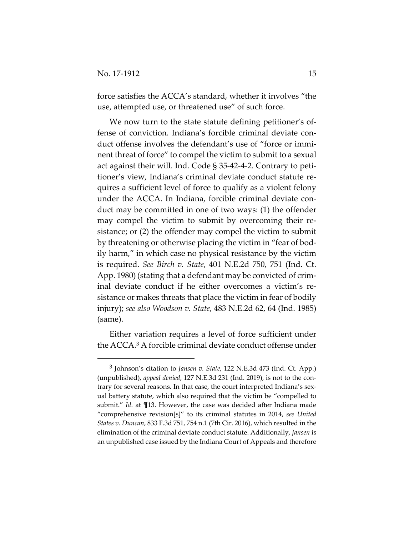force satisfies the ACCA's standard, whether it involves "the use, attempted use, or threatened use" of such force.

We now turn to the state statute defining petitioner's offense of conviction. Indiana's forcible criminal deviate conduct offense involves the defendant's use of "force or immi‐ nent threat of force" to compel the victim to submit to a sexual act against their will. Ind. Code § 35‐42‐4‐2. Contrary to peti‐ tioner's view, Indiana's criminal deviate conduct statute re‐ quires a sufficient level of force to qualify as a violent felony under the ACCA. In Indiana, forcible criminal deviate conduct may be committed in one of two ways: (1) the offender may compel the victim to submit by overcoming their resistance; or (2) the offender may compel the victim to submit by threatening or otherwise placing the victim in "fear of bod‐ ily harm," in which case no physical resistance by the victim is required. *See Birch v. State*, 401 N.E.2d 750, 751 (Ind. Ct. App. 1980) (stating that a defendant may be convicted of crim‐ inal deviate conduct if he either overcomes a victim's resistance or makes threats that place the victim in fear of bodily injury); *see also Woodson v. State*, 483 N.E.2d 62, 64 (Ind. 1985) (same).

Either variation requires a level of force sufficient under the ACCA.3 A forcible criminal deviate conduct offense under

<sup>3</sup> Johnson's citation to *Jansen v. State*, 122 N.E.3d 473 (Ind. Ct. App.) (unpublished), *appeal denied*, 127 N.E.3d 231 (Ind. 2019), is not to the con‐ trary for several reasons. In that case, the court interpreted Indiana's sexual battery statute, which also required that the victim be "compelled to submit." *Id.* at ¶13. However, the case was decided after Indiana made "comprehensive revision[s]" to its criminal statutes in 2014, *see United States v. Duncan*, 833 F.3d 751, 754 n.1 (7th Cir. 2016), which resulted in the elimination of the criminal deviate conduct statute. Additionally, *Jansen* is an unpublished case issued by the Indiana Court of Appeals and therefore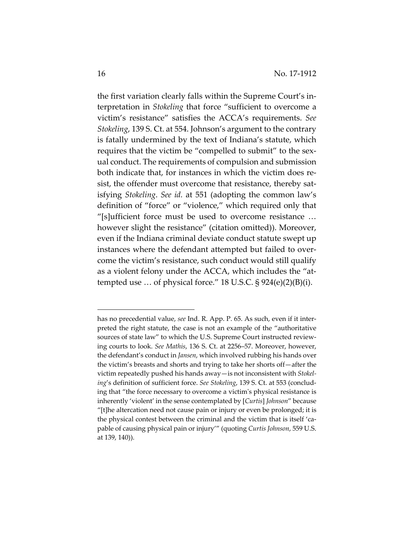the first variation clearly falls within the Supreme Court's in‐ terpretation in *Stokeling* that force "sufficient to overcome a victim's resistance" satisfies the ACCA's requirements. *See Stokeling*, 139 S. Ct. at 554. Johnson's argument to the contrary is fatally undermined by the text of Indiana's statute, which requires that the victim be "compelled to submit" to the sexual conduct. The requirements of compulsion and submission both indicate that, for instances in which the victim does re‐ sist, the offender must overcome that resistance, thereby satisfying *Stokeling*. *See id.* at 551 (adopting the common law's definition of "force" or "violence," which required only that "[s]ufficient force must be used to overcome resistance … however slight the resistance" (citation omitted)). Moreover, even if the Indiana criminal deviate conduct statute swept up instances where the defendant attempted but failed to overcome the victim's resistance, such conduct would still qualify as a violent felony under the ACCA, which includes the "at‐ tempted use ... of physical force."  $18$  U.S.C.  $\S$  924(e)(2)(B)(i).

has no precedential value, *see* Ind. R. App. P. 65. As such, even if it inter‐ preted the right statute, the case is not an example of the "authoritative sources of state law" to which the U.S. Supreme Court instructed reviewing courts to look. *See Mathis*, 136 S. Ct. at 2256–57. Moreover, however, the defendant's conduct in *Jansen*, which involved rubbing his hands over the victim's breasts and shorts and trying to take her shorts off—after the victim repeatedly pushed his hands away—is not inconsistent with *Stokel‐ ing*'s definition of sufficient force. *See Stokeling*, 139 S. Ct. at 553 (conclud‐ ing that "the force necessary to overcome a victimʹs physical resistance is inherently 'violent' in the sense contemplated by [*Curtis*] *Johnson*" because "[t]he altercation need not cause pain or injury or even be prolonged; it is the physical contest between the criminal and the victim that is itself 'capable of causing physical pain or injury'" (quoting *Curtis Johnson*, 559 U.S. at 139, 140)).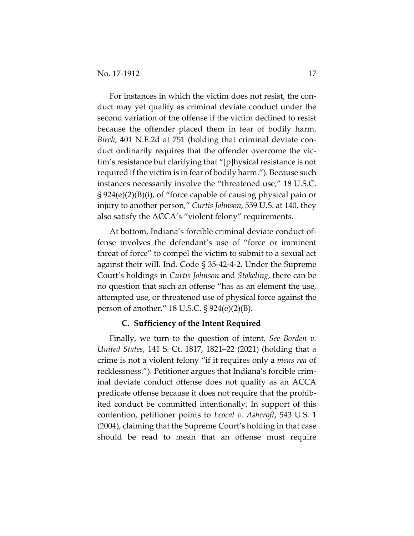For instances in which the victim does not resist, the conduct may yet qualify as criminal deviate conduct under the second variation of the offense if the victim declined to resist because the offender placed them in fear of bodily harm. *Birch*, 401 N.E.2d at 751 (holding that criminal deviate con‐ duct ordinarily requires that the offender overcome the vic‐ tim's resistance but clarifying that "[p]hysical resistance is not required if the victim is in fear of bodily harm."). Because such instances necessarily involve the "threatened use," 18 U.S.C. § 924(e)(2)(B)(i), of "force capable of causing physical pain or injury to another person," *Curtis Johnson*, 559 U.S. at 140, they also satisfy the ACCA's "violent felony" requirements.

At bottom, Indiana's forcible criminal deviate conduct of‐ fense involves the defendant's use of "force or imminent threat of force" to compel the victim to submit to a sexual act against their will. Ind. Code § 35‐42‐4‐2. Under the Supreme Court's holdings in *Curtis Johnson* and *Stokeling*, there can be no question that such an offense "has as an element the use, attempted use, or threatened use of physical force against the person of another." 18 U.S.C. § 924(e)(2)(B).

#### **C. Sufficiency of the Intent Required**

Finally, we turn to the question of intent. *See Borden v. United States*, 141 S. Ct. 1817, 1821–22 (2021) (holding that a crime is not a violent felony "if it requires only a *mens rea* of recklessness."). Petitioner argues that Indiana's forcible crim‐ inal deviate conduct offense does not qualify as an ACCA predicate offense because it does not require that the prohib‐ ited conduct be committed intentionally. In support of this contention, petitioner points to *Leocal v. Ashcroft*, 543 U.S. 1 (2004), claiming that the Supreme Court's holding in that case should be read to mean that an offense must require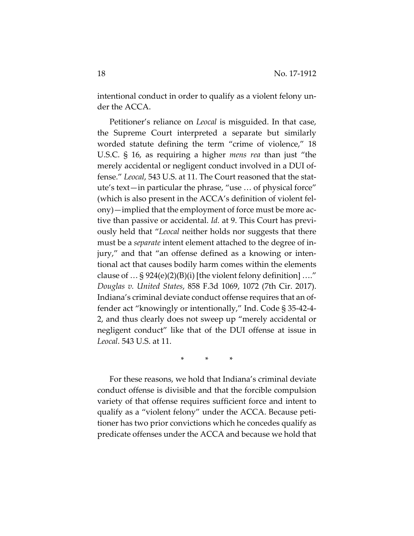intentional conduct in order to qualify as a violent felony under the ACCA.

Petitioner's reliance on *Leocal* is misguided. In that case, the Supreme Court interpreted a separate but similarly worded statute defining the term "crime of violence," 18 U.S.C. § 16, as requiring a higher *mens rea* than just "the merely accidental or negligent conduct involved in a DUI offense." *Leocal*, 543 U.S. at 11. The Court reasoned that the stat‐ ute's text—in particular the phrase, "use … of physical force" (which is also present in the ACCA's definition of violent fel‐ ony)—implied that the employment of force must be more active than passive or accidental. *Id.* at 9. This Court has previ‐ ously held that "*Leocal* neither holds nor suggests that there must be a *separate* intent element attached to the degree of in‐ jury," and that "an offense defined as a knowing or inten‐ tional act that causes bodily harm comes within the elements clause of  $\ldots$  § 924(e)(2)(B)(i) [the violent felony definition] ...." *Douglas v. United States*, 858 F.3d 1069, 1072 (7th Cir. 2017). Indiana's criminal deviate conduct offense requires that an of‐ fender act "knowingly or intentionally," Ind. Code § 35‐42‐4‐ 2, and thus clearly does not sweep up "merely accidental or negligent conduct" like that of the DUI offense at issue in *Leocal*. 543 U.S. at 11.

\* \* \*

For these reasons, we hold that Indiana's criminal deviate conduct offense is divisible and that the forcible compulsion variety of that offense requires sufficient force and intent to qualify as a "violent felony" under the ACCA. Because peti‐ tioner has two prior convictions which he concedes qualify as predicate offenses under the ACCA and because we hold that